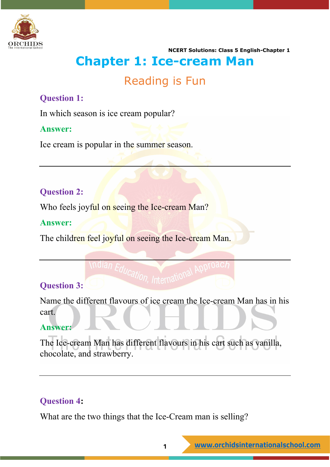

# **Chapter 1: Ice-cream Man**

### Reading is Fun

#### **Question 1:**

In which season is ice cream popular?

#### **Answer:**

Ice cream is popular in the summer season.

#### **Question 2:**

Who feels joyful on seeing the Ice-cream Man?

#### **Answer:**

The children feel joyful on seeing the Ice-cream Man.

### **Question 3:**

Name the different flavours of ice cream the Ice-cream Man has in his cart.

#### **Answer:**

The Ice-cream Man has different flavours in his cart such as vanilla, chocolate, and strawberry.

#### **Question 4:**

What are the two things that the Ice-Cream man is selling?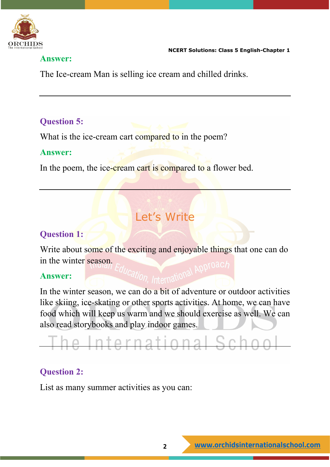

#### **Answer:**

The Ice-cream Man is selling ice cream and chilled drinks.

#### **Question 5:**

What is the ice-cream cart compared to in the poem?

#### **Answer:**

In the poem, the ice-cream cart is compared to a flower bed.

## Let's Write

#### **Question 1:**

Write about some of the exciting and enjoyable things that one can do in the winter season.

#### **Answer:**

In the winter season, we can do a bit of adventure or outdoor activities like skiing, ice-skating or other sports activities. At home, we can have food which will keep us warm and we should exercise as well. We can also read storybooks and play indoor games.

# he International School

#### **Question 2:**

List as many summer activities as you can: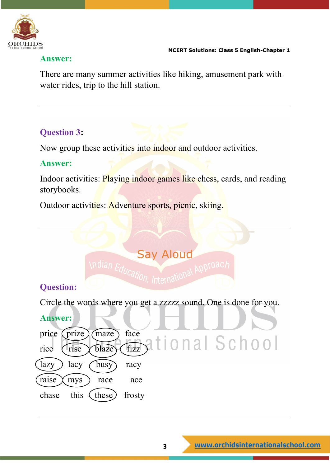

#### **Answer:**

There are many summer activities like hiking, amusement park with water rides, trip to the hill station.

#### **Question 3:**

Now group these activities into indoor and outdoor activities.

#### **Answer:**

Indoor activities: Playing indoor games like chess, cards, and reading storybooks.

Outdoor activities: Adventure sports, picnic, skiing.

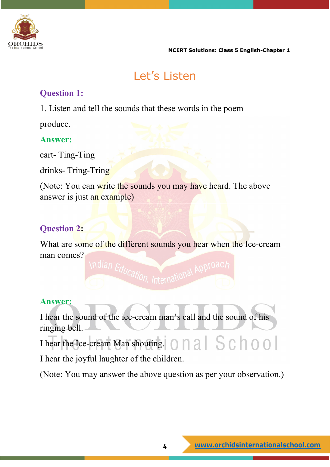

# Let's Listen

#### **Question 1:**

1. Listen and tell the sounds that these words in the poem

produce.

#### **Answer:**

cart- Ting-Ting

drinks- Tring-Tring

(Note: You can write the sounds you may have heard. The above answer is just an example)

### **Question 2:**

What are some of the different sounds you hear when the Ice-cream man comes? ndian Education, International Approac

**Answer:**

I hear the sound of the ice-cream man's call and the sound of his ringing bell.

I hear the Ice-cream Man shouting. 0 0 3 6 6 0 0 0

I hear the joyful laughter of the children.

(Note: You may answer the above question as per your observation.)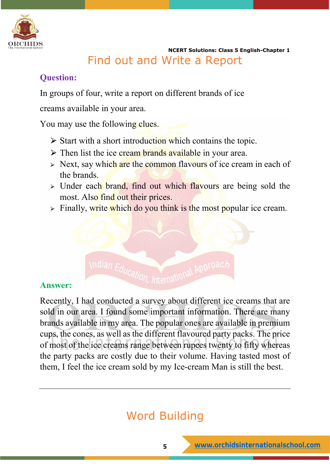

 **NCERT Solutions: Class 5 English-Chapter 1** Find out and Write a Report

#### **Question:**

In groups of four, write a report on different brands of ice

creams available in your area.

You may use the following clues.

- $\triangleright$  Start with a short introduction which contains the topic.
- $\triangleright$  Then list the ice cream brands available in your area.
- $\triangleright$  Next, say which are the common flavours of ice cream in each of the brands.
- $\geq$  Under each brand, find out which flavours are being sold the most. Also find out their prices.
- $\triangleright$  Finally, write which do you think is the most popular ice cream.



#### **Answer:**

Recently, I had conducted a survey about different ice creams that are sold in our area. I found some important information. There are many brands available in my area. The popular ones are available in premium cups, the cones, as well as the different flavoured party packs. The price of most of the ice creams range between rupees twenty to fifty whereas the party packs are costly due to their volume. Having tasted most of them, I feel the ice cream sold by my Ice-cream Man is still the best.

# Word Building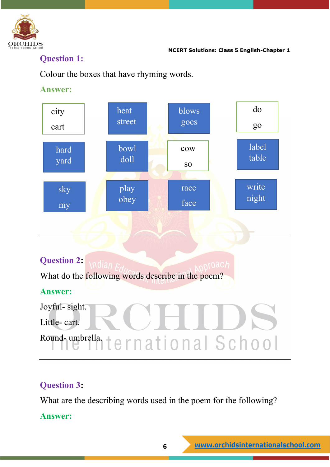

#### **Question 1:**

Colour the boxes that have rhyming words.

#### **Answer:**

| city            | heat         | blows     | do    |
|-----------------|--------------|-----------|-------|
| cart            | street       | goes      | go    |
| hard            | bowl         | cow       | label |
| yard            | doll         | <b>SO</b> | table |
| sky             | play<br>obey | race      | write |
| $\overline{my}$ |              | face      | night |
|                 |              |           |       |

# **Question 2:**  What do the following words describe in the poem? **Answer:** Joyful- sight. Little- cart. Round-umbrella. ternational School

#### **Question 3:**

What are the describing words used in the poem for the following?

#### **Answer:**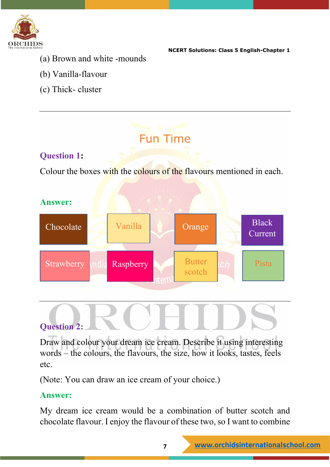

- (a) Brown and white -mounds
- (b) Vanilla-flavour
- (c) Thick- cluster

# Fun Time **Question 1:** Colour the boxes with the colours of the flavours mentioned in each. **Answer:**  Chocolate Strawberry ndia Raspberry Butter ch Pista Vanilla **Orange** Black Current

### **Question 2:**

Draw and colour your dream ice cream. Describe it using interesting words – the colours, the flavours, the size, how it looks, tastes, feels etc.

(Note: You can draw an ice cream of your choice.)

#### **Answer:**

My dream ice cream would be a combination of butter scotch and chocolate flavour. I enjoy the flavour of these two, so I want to combine